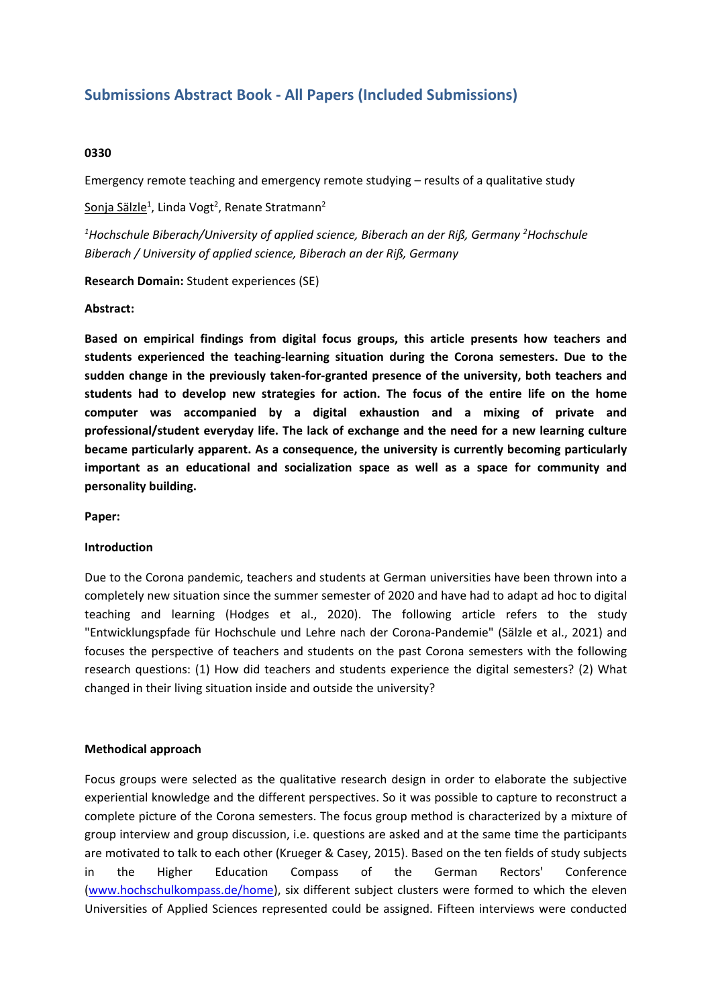# **Submissions Abstract Book - All Papers (Included Submissions)**

## **0330**

Emergency remote teaching and emergency remote studying – results of <sup>a</sup> qualitative study

Sonja Sälzle<sup>1</sup>, Linda Vogt<sup>2</sup>, Renate Stratmann<sup>2</sup>

*1 Hochschule Biberach/University of applied science, Biberach an der Riß, Germany 2 Hochschule Biberach / University of applied science, Biberach an der Riß, Germany*

**Research Domain:** Student experiences (SE)

#### **Abstract:**

**Based on empirical findings from digital focus groups, this article presents how teachers and students experienced the teaching-learning situation during the Corona semesters. Due to the sudden change in the previously taken-for-granted presence of the university, both teachers and students had to develop new strategies for action. The focus of the entire life on the home computer was accompanied by <sup>a</sup> digital exhaustion and <sup>a</sup> mixing of private and professional/student everyday life. The lack of exchange and the need for <sup>a</sup> new learning culture became particularly apparent. As <sup>a</sup> consequence, the university is currently becoming particularly important as an educational and socialization space as well as <sup>a</sup> space for community and personality building.**

**Paper:**

#### **Introduction**

Due to the Corona pandemic, teachers and students at German universities have been thrown into <sup>a</sup> completely new situation since the summer semester of 2020 and have had to adapt ad hoc to digital teaching and learning (Hodges et al., 2020). The following article refers to the study "Entwicklungspfade für Hochschule und Lehre nach der Corona-Pandemie" (Sälzle et al., 2021) and focuses the perspective of teachers and students on the past Corona semesters with the following research questions: (1) How did teachers and students experience the digital semesters? (2) What changed in their living situation inside and outside the university?

## **Methodical approach**

Focus groups were selected as the qualitative research design in order to elaborate the subjective experiential knowledge and the different perspectives. So it was possible to capture to reconstruct <sup>a</sup> complete picture of the Corona semesters. The focus group method is characterized by <sup>a</sup> mixture of group interview and group discussion, i.e. questions are asked and at the same time the participants are motivated to talk to each other (Krueger & Casey, 2015). Based on the ten fields of study subjects in the Higher Education Compass of the German Rectors' Conference ([www.hochschulkompass.de/home](http://www.hochschulkompass.de/home)), six different subject clusters were formed to which the eleven Universities of Applied Sciences represented could be assigned. Fifteen interviews were conducted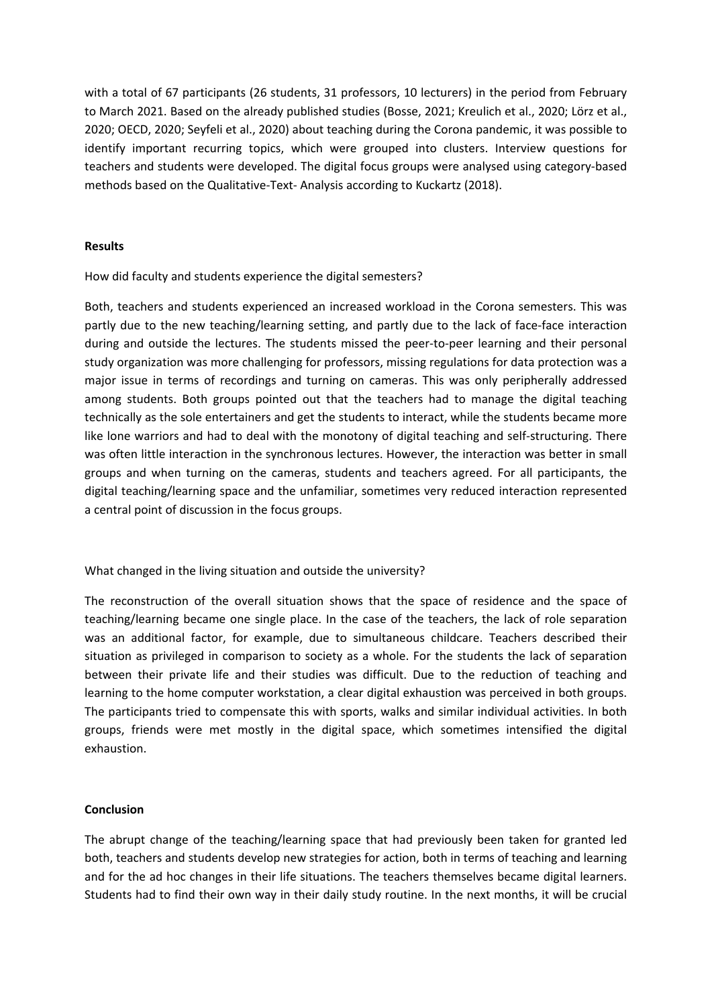with <sup>a</sup> total of 67 participants (26 students, 31 professors, 10 lecturers) in the period from February to March 2021. Based on the already published studies (Bosse, 2021; Kreulich et al., 2020; Lörz et al., 2020; OECD, 2020; Seyfeli et al., 2020) about teaching during the Corona pandemic, it was possible to identify important recurring topics, which were grouped into clusters. Interview questions for teachers and students were developed. The digital focus groups were analysed using category-based methods based on the Qualitative-Text- Analysis according to Kuckartz (2018).

## **Results**

How did faculty and students experience the digital semesters?

Both, teachers and students experienced an increased workload in the Corona semesters. This was partly due to the new teaching/learning setting, and partly due to the lack of face-face interaction during and outside the lectures. The students missed the peer-to-peer learning and their personal study organization was more challenging for professors, missing regulations for data protection was <sup>a</sup> major issue in terms of recordings and turning on cameras. This was only peripherally addressed among students. Both groups pointed out that the teachers had to manage the digital teaching technically as the sole entertainers and get the students to interact, while the students became more like lone warriors and had to deal with the monotony of digital teaching and self-structuring. There was often little interaction in the synchronous lectures. However, the interaction was better in small groups and when turning on the cameras, students and teachers agreed. For all participants, the digital teaching/learning space and the unfamiliar, sometimes very reduced interaction represented <sup>a</sup> central point of discussion in the focus groups.

What changed in the living situation and outside the university?

The reconstruction of the overall situation shows that the space of residence and the space of teaching/learning became one single place. In the case of the teachers, the lack of role separation was an additional factor, for example, due to simultaneous childcare. Teachers described their situation as privileged in comparison to society as <sup>a</sup> whole. For the students the lack of separation between their private life and their studies was difficult. Due to the reduction of teaching and learning to the home computer workstation, <sup>a</sup> clear digital exhaustion was perceived in both groups. The participants tried to compensate this with sports, walks and similar individual activities. In both groups, friends were met mostly in the digital space, which sometimes intensified the digital exhaustion.

## **Conclusion**

The abrupt change of the teaching/learning space that had previously been taken for granted led both, teachers and students develop new strategies for action, both in terms of teaching and learning and for the ad hoc changes in their life situations. The teachers themselves became digital learners. Students had to find their own way in their daily study routine. In the next months, it will be crucial